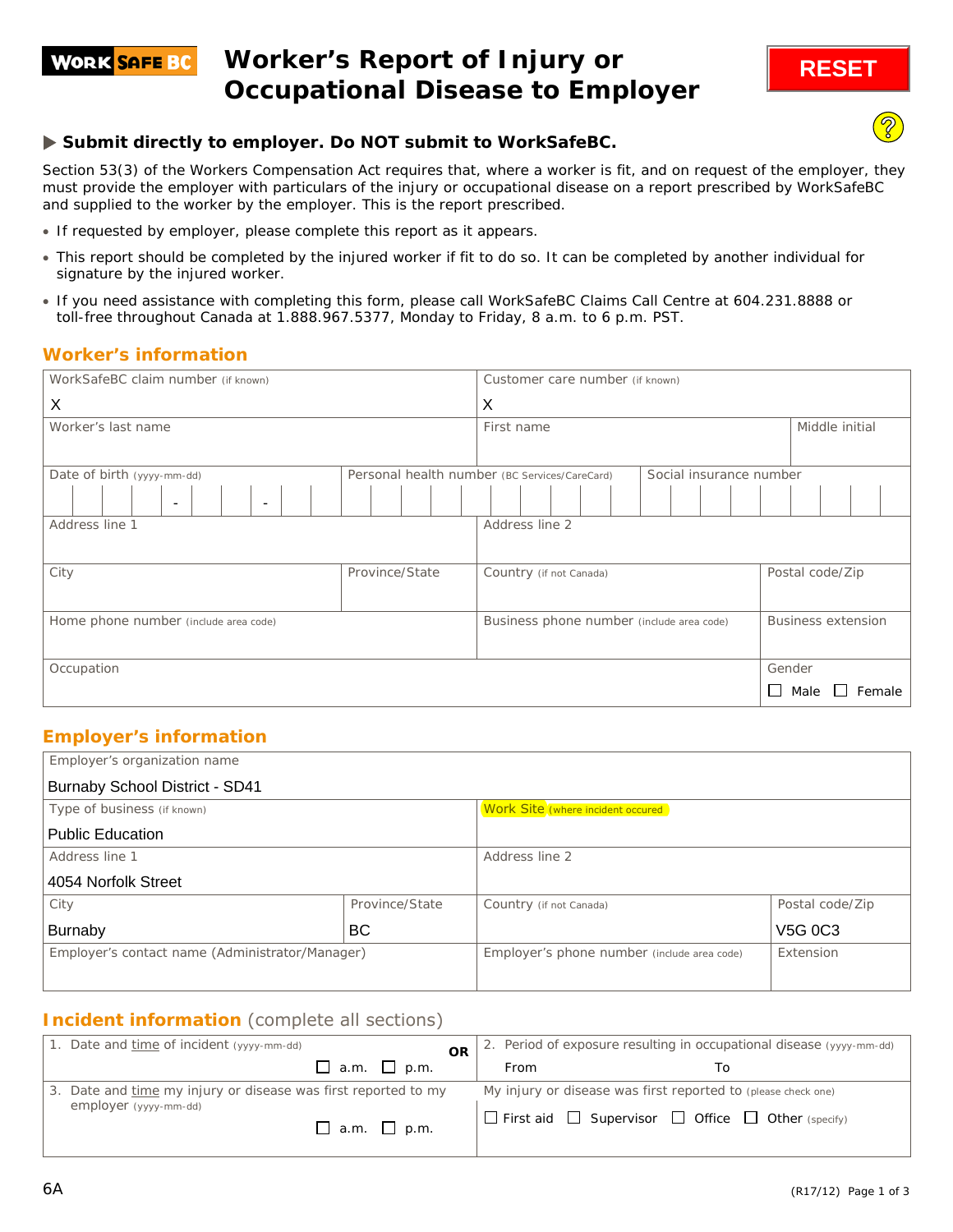### **Worker's Report of Injury or WORK SAFE BC Occupational Disease to Employer**

## **Submit directly to employer. Do NOT submit to WorkSafeBC.**

Section 53(3) of the *Workers Compensation Act* requires that, where a worker is fit, and on request of the employer, they must provide the employer with particulars of the injury or occupational disease on a report prescribed by WorkSafeBC and supplied to the worker by the employer. This is the report prescribed.

- If requested by employer, please complete this report as it appears.
- This report should be completed by the injured worker if fit to do so. It can be completed by another individual for signature by the injured worker.
- If you need assistance with completing this form, please call WorkSafeBC Claims Call Centre at 604.231.8888 or toll-free throughout Canada at 1.888.967.5377, Monday to Friday, 8 a.m. to 6 p.m. PST.

### **Worker's information**

| WorkSafeBC claim number (if known)                   |                | Customer care number (if known)               |                         |                                  |
|------------------------------------------------------|----------------|-----------------------------------------------|-------------------------|----------------------------------|
| X                                                    |                | X                                             |                         |                                  |
| Worker's last name                                   |                | First name                                    |                         | Middle initial                   |
|                                                      |                |                                               |                         |                                  |
| Date of birth (yyyy-mm-dd)                           |                | Personal health number (BC Services/CareCard) | Social insurance number |                                  |
| $\overline{\phantom{a}}$<br>$\overline{\phantom{a}}$ |                |                                               |                         |                                  |
| Address line 1                                       |                | Address line 2                                |                         |                                  |
| City                                                 | Province/State | Country (if not Canada)                       |                         | Postal code/Zip                  |
| Home phone number (include area code)                |                | Business phone number (include area code)     |                         | <b>Business extension</b>        |
| Occupation                                           |                |                                               |                         | Gender                           |
|                                                      |                |                                               |                         | Female<br>Male<br>$\blacksquare$ |

## **Employer's information**

| Employer's organization name                    |                |                                             |                 |
|-------------------------------------------------|----------------|---------------------------------------------|-----------------|
| <b>Burnaby School District - SD41</b>           |                |                                             |                 |
| Type of business (if known)                     |                | Work Site (where incident occured           |                 |
| <b>Public Education</b>                         |                |                                             |                 |
| Address line 1                                  |                | Address line 2                              |                 |
| 4054 Norfolk Street                             |                |                                             |                 |
| City                                            | Province/State | Country (if not Canada)                     | Postal code/Zip |
| <b>Burnaby</b>                                  | BC             |                                             | V5G 0C3         |
| Employer's contact name (Administrator/Manager) |                | Employer's phone number (include area code) | Extension       |
|                                                 |                |                                             |                 |

## **Incident information** (complete all sections)

| 1. Date and time of incident (yyyy-mm-dd)                                               |                         | <b>OR</b> |      | 2. Period of exposure resulting in occupational disease (yyyy-mm-dd)                                                                     |
|-----------------------------------------------------------------------------------------|-------------------------|-----------|------|------------------------------------------------------------------------------------------------------------------------------------------|
|                                                                                         | $\Box$ a.m. $\Box$ p.m. |           | From |                                                                                                                                          |
| 3. Date and time my injury or disease was first reported to my<br>employer (yyyy-mm-dd) | $\Box$ a.m. $\Box$ p.m. |           |      | My injury or disease was first reported to (please check one)<br>$\Box$ First aid $\Box$ Supervisor $\Box$ Office $\Box$ Other (specify) |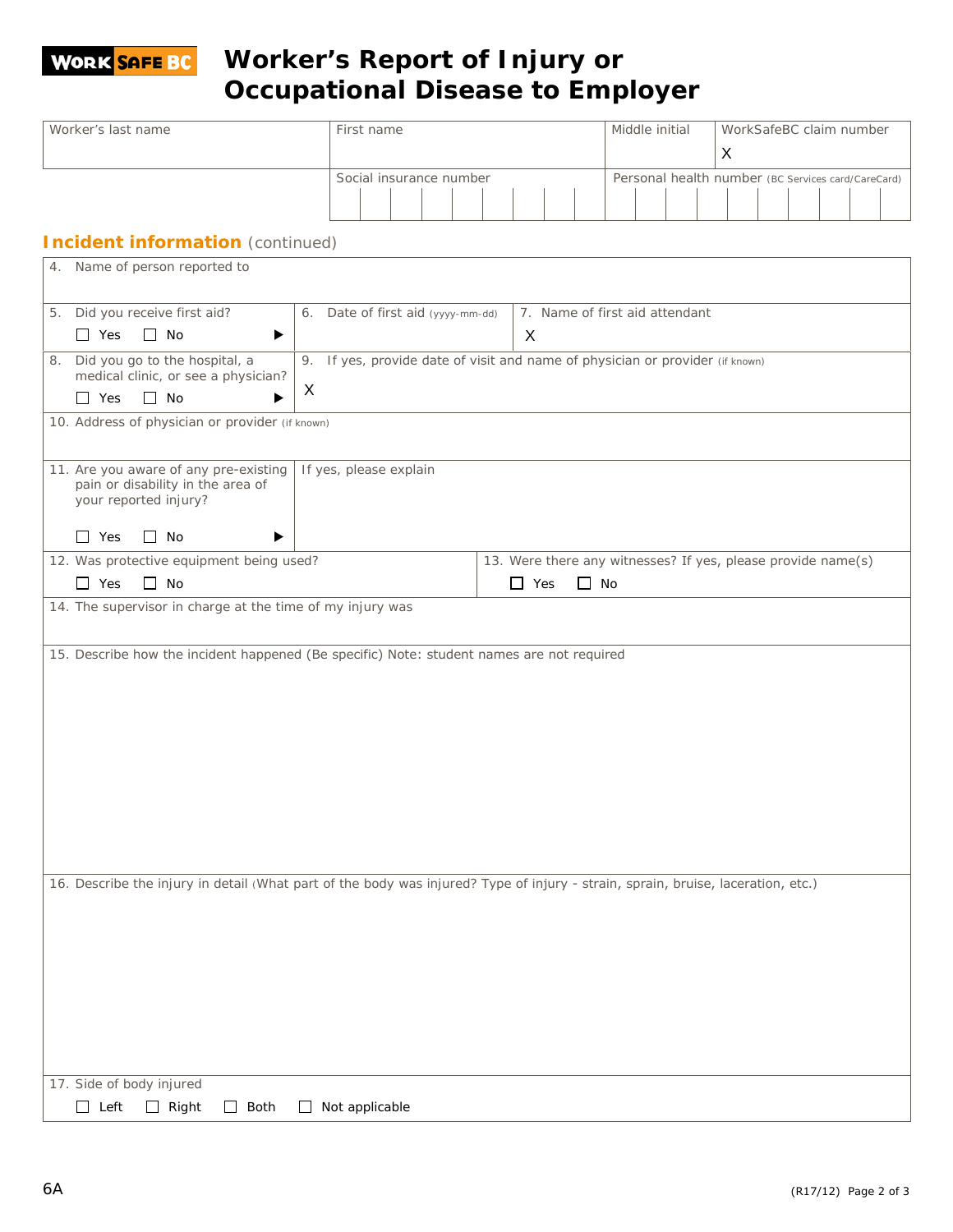## **Worker's Report of Injury or WORK SAFE BC Occupational Disease to Employer**

| Worker's last name<br>First name                                                                                                 |                                                                               | Middle initial | WorkSafeBC claim number |                                                              |   |  |  |                                                    |
|----------------------------------------------------------------------------------------------------------------------------------|-------------------------------------------------------------------------------|----------------|-------------------------|--------------------------------------------------------------|---|--|--|----------------------------------------------------|
|                                                                                                                                  |                                                                               |                |                         |                                                              | X |  |  |                                                    |
|                                                                                                                                  | Social insurance number                                                       |                |                         |                                                              |   |  |  | Personal health number (BC Services card/CareCard) |
|                                                                                                                                  |                                                                               |                |                         |                                                              |   |  |  |                                                    |
|                                                                                                                                  |                                                                               |                |                         |                                                              |   |  |  |                                                    |
| <b>Incident information</b> (continued)                                                                                          |                                                                               |                |                         |                                                              |   |  |  |                                                    |
| 4. Name of person reported to                                                                                                    |                                                                               |                |                         |                                                              |   |  |  |                                                    |
|                                                                                                                                  |                                                                               |                |                         |                                                              |   |  |  |                                                    |
| Did you receive first aid?<br>5.                                                                                                 | 6. Date of first aid (yyyy-mm-dd)                                             |                |                         | 7. Name of first aid attendant                               |   |  |  |                                                    |
| $\Box$ No<br>$\Box$ Yes<br>▶                                                                                                     |                                                                               | X              |                         |                                                              |   |  |  |                                                    |
| Did you go to the hospital, a<br>8.                                                                                              | 9. If yes, provide date of visit and name of physician or provider (if known) |                |                         |                                                              |   |  |  |                                                    |
| medical clinic, or see a physician?                                                                                              |                                                                               |                |                         |                                                              |   |  |  |                                                    |
| $\Box$ No<br>$\Box$ Yes<br>▶                                                                                                     | X                                                                             |                |                         |                                                              |   |  |  |                                                    |
| 10. Address of physician or provider (if known)                                                                                  |                                                                               |                |                         |                                                              |   |  |  |                                                    |
|                                                                                                                                  |                                                                               |                |                         |                                                              |   |  |  |                                                    |
| 11. Are you aware of any pre-existing                                                                                            | If yes, please explain                                                        |                |                         |                                                              |   |  |  |                                                    |
| pain or disability in the area of                                                                                                |                                                                               |                |                         |                                                              |   |  |  |                                                    |
| your reported injury?                                                                                                            |                                                                               |                |                         |                                                              |   |  |  |                                                    |
| $\Box$ Yes<br>$\Box$ No<br>▶                                                                                                     |                                                                               |                |                         |                                                              |   |  |  |                                                    |
| 12. Was protective equipment being used?                                                                                         |                                                                               |                |                         | 13. Were there any witnesses? If yes, please provide name(s) |   |  |  |                                                    |
| $\Box$ Yes<br>$\Box$ No                                                                                                          |                                                                               | $\Box$ Yes     | $\Box$ No               |                                                              |   |  |  |                                                    |
| 14. The supervisor in charge at the time of my injury was                                                                        |                                                                               |                |                         |                                                              |   |  |  |                                                    |
|                                                                                                                                  |                                                                               |                |                         |                                                              |   |  |  |                                                    |
| 15. Describe how the incident happened (Be specific) Note: student names are not required                                        |                                                                               |                |                         |                                                              |   |  |  |                                                    |
|                                                                                                                                  |                                                                               |                |                         |                                                              |   |  |  |                                                    |
|                                                                                                                                  |                                                                               |                |                         |                                                              |   |  |  |                                                    |
|                                                                                                                                  |                                                                               |                |                         |                                                              |   |  |  |                                                    |
|                                                                                                                                  |                                                                               |                |                         |                                                              |   |  |  |                                                    |
|                                                                                                                                  |                                                                               |                |                         |                                                              |   |  |  |                                                    |
|                                                                                                                                  |                                                                               |                |                         |                                                              |   |  |  |                                                    |
|                                                                                                                                  |                                                                               |                |                         |                                                              |   |  |  |                                                    |
|                                                                                                                                  |                                                                               |                |                         |                                                              |   |  |  |                                                    |
|                                                                                                                                  |                                                                               |                |                         |                                                              |   |  |  |                                                    |
|                                                                                                                                  |                                                                               |                |                         |                                                              |   |  |  |                                                    |
| 16. Describe the injury in detail (What part of the body was injured? Type of injury - strain, sprain, bruise, laceration, etc.) |                                                                               |                |                         |                                                              |   |  |  |                                                    |
|                                                                                                                                  |                                                                               |                |                         |                                                              |   |  |  |                                                    |
|                                                                                                                                  |                                                                               |                |                         |                                                              |   |  |  |                                                    |
|                                                                                                                                  |                                                                               |                |                         |                                                              |   |  |  |                                                    |
|                                                                                                                                  |                                                                               |                |                         |                                                              |   |  |  |                                                    |
|                                                                                                                                  |                                                                               |                |                         |                                                              |   |  |  |                                                    |
|                                                                                                                                  |                                                                               |                |                         |                                                              |   |  |  |                                                    |
|                                                                                                                                  |                                                                               |                |                         |                                                              |   |  |  |                                                    |
|                                                                                                                                  |                                                                               |                |                         |                                                              |   |  |  |                                                    |
|                                                                                                                                  |                                                                               |                |                         |                                                              |   |  |  |                                                    |
| 17. Side of body injured                                                                                                         |                                                                               |                |                         |                                                              |   |  |  |                                                    |
| $\Box$ Left<br>$\Box$ Right<br>Both<br>$\mathsf{L}$                                                                              | Not applicable<br>$\perp$                                                     |                |                         |                                                              |   |  |  |                                                    |